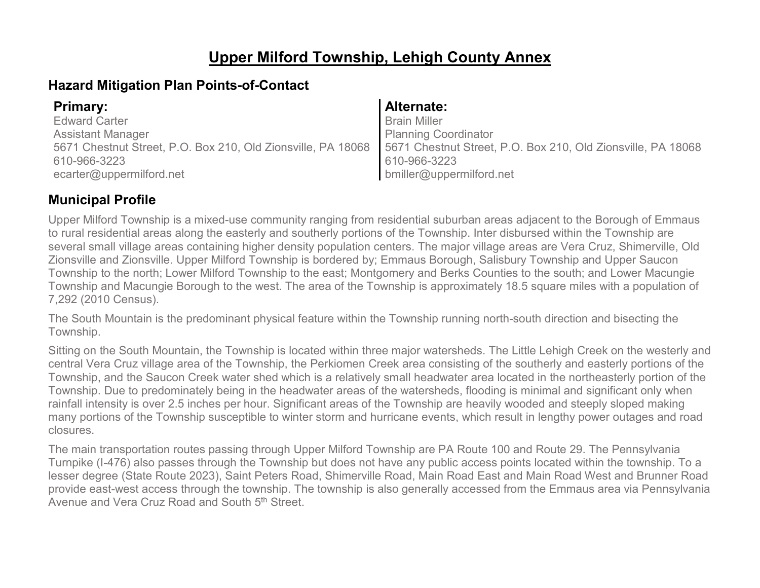## **Upper Milford Township, Lehigh County Annex**

### **Hazard Mitigation Plan Points-of-Contact**

| <b>Primary:</b>                                                                                                             | <b>Alternate:</b>           |
|-----------------------------------------------------------------------------------------------------------------------------|-----------------------------|
| <b>Edward Carter</b>                                                                                                        | <b>Brain Miller</b>         |
| <b>Assistant Manager</b>                                                                                                    | <b>Planning Coordinator</b> |
| 5671 Chestnut Street, P.O. Box 210, Old Zionsville, PA 18068   5671 Chestnut Street, P.O. Box 210, Old Zionsville, PA 18068 |                             |
| 610-966-3223                                                                                                                | 610-966-3223                |
| ecarter@uppermilford.net                                                                                                    | bmiller@uppermilford.net    |

### **Municipal Profile**

Upper Milford Township is a mixed-use community ranging from residential suburban areas adjacent to the Borough of Emmaus to rural residential areas along the easterly and southerly portions of the Township. Inter disbursed within the Township are several small village areas containing higher density population centers. The major village areas are Vera Cruz, Shimerville, Old Zionsville and Zionsville. Upper Milford Township is bordered by; Emmaus Borough, Salisbury Township and Upper Saucon Township to the north; Lower Milford Township to the east; Montgomery and Berks Counties to the south; and Lower Macungie Township and Macungie Borough to the west. The area of the Township is approximately 18.5 square miles with a population of 7,292 (2010 Census).

The South Mountain is the predominant physical feature within the Township running north-south direction and bisecting the Township.

Sitting on the South Mountain, the Township is located within three major watersheds. The Little Lehigh Creek on the westerly and central Vera Cruz village area of the Township, the Perkiomen Creek area consisting of the southerly and easterly portions of the Township, and the Saucon Creek water shed which is a relatively small headwater area located in the northeasterly portion of the Township. Due to predominately being in the headwater areas of the watersheds, flooding is minimal and significant only when rainfall intensity is over 2.5 inches per hour. Significant areas of the Township are heavily wooded and steeply sloped making many portions of the Township susceptible to winter storm and hurricane events, which result in lengthy power outages and road closures.

The main transportation routes passing through Upper Milford Township are PA Route 100 and Route 29. The Pennsylvania Turnpike (I-476) also passes through the Township but does not have any public access points located within the township. To a lesser degree (State Route 2023), Saint Peters Road, Shimerville Road, Main Road East and Main Road West and Brunner Road provide east-west access through the township. The township is also generally accessed from the Emmaus area via Pennsylvania Avenue and Vera Cruz Road and South 5<sup>th</sup> Street.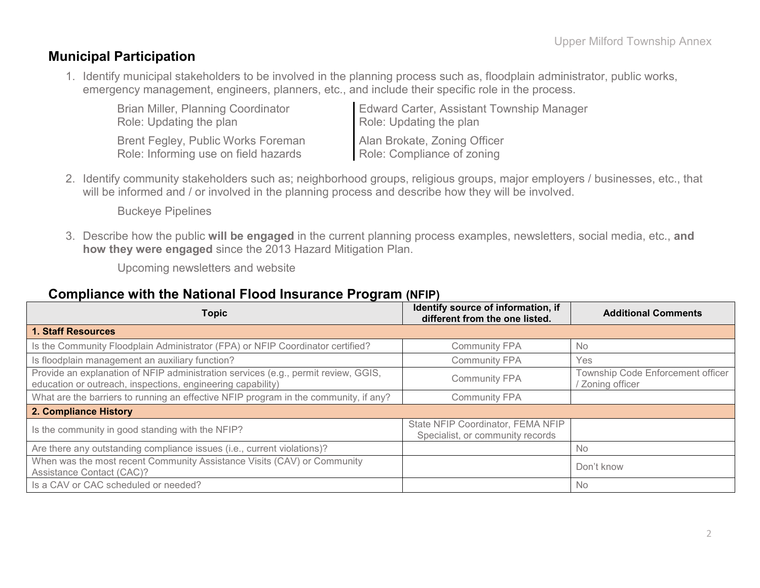### **Municipal Participation**

1. Identify municipal stakeholders to be involved in the planning process such as, floodplain administrator, public works, emergency management, engineers, planners, etc., and include their specific role in the process.

| <b>Brian Miller, Planning Coordinator</b> | <b>Edward Carter, Assistant Township Manager</b> |
|-------------------------------------------|--------------------------------------------------|
| Role: Updating the plan                   | Role: Updating the plan                          |
| Brent Fegley, Public Works Foreman        | Alan Brokate, Zoning Officer                     |
| Role: Informing use on field hazards      | Role: Compliance of zoning                       |

2. Identify community stakeholders such as; neighborhood groups, religious groups, major employers / businesses, etc., that will be informed and / or involved in the planning process and describe how they will be involved.

Buckeye Pipelines

3. Describe how the public **will be engaged** in the current planning process examples, newsletters, social media, etc., **and how they were engaged** since the 2013 Hazard Mitigation Plan.

Upcoming newsletters and website

### **Compliance with the National Flood Insurance Program (NFIP)**

| <b>Topic</b>                                                                                                                                      | Identify source of information, if<br>different from the one listed.  | <b>Additional Comments</b>                          |  |
|---------------------------------------------------------------------------------------------------------------------------------------------------|-----------------------------------------------------------------------|-----------------------------------------------------|--|
| <b>1. Staff Resources</b>                                                                                                                         |                                                                       |                                                     |  |
| Is the Community Floodplain Administrator (FPA) or NFIP Coordinator certified?                                                                    | <b>Community FPA</b>                                                  | <b>No</b>                                           |  |
| Is floodplain management an auxiliary function?                                                                                                   | <b>Community FPA</b>                                                  | Yes                                                 |  |
| Provide an explanation of NFIP administration services (e.g., permit review, GGIS,<br>education or outreach, inspections, engineering capability) | <b>Community FPA</b>                                                  | Township Code Enforcement officer<br>Zoning officer |  |
| What are the barriers to running an effective NFIP program in the community, if any?                                                              | <b>Community FPA</b>                                                  |                                                     |  |
| 2. Compliance History                                                                                                                             |                                                                       |                                                     |  |
| Is the community in good standing with the NFIP?                                                                                                  | State NFIP Coordinator, FEMA NFIP<br>Specialist, or community records |                                                     |  |
| Are there any outstanding compliance issues (i.e., current violations)?                                                                           |                                                                       | <b>No</b>                                           |  |
| When was the most recent Community Assistance Visits (CAV) or Community<br>Assistance Contact (CAC)?                                              |                                                                       | Don't know                                          |  |
| Is a CAV or CAC scheduled or needed?                                                                                                              |                                                                       | No                                                  |  |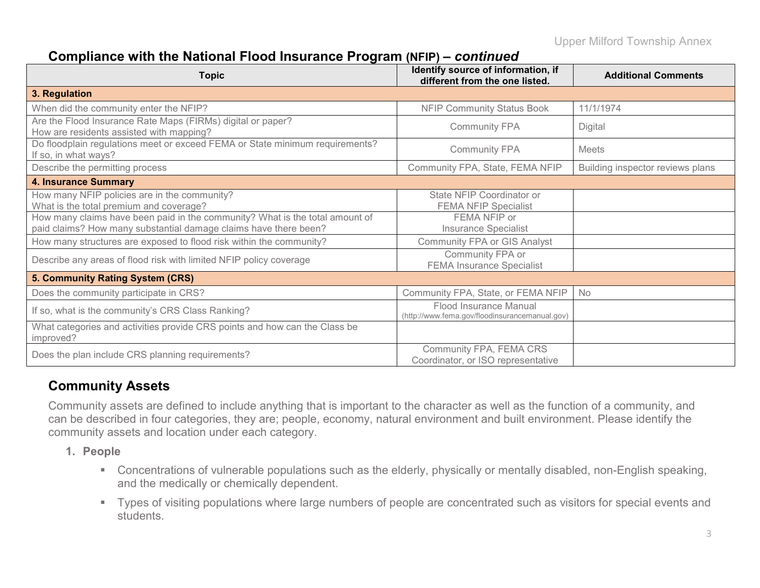### **Compliance with the National Flood Insurance Program (NFIP) –** *continued*

| <b>Topic</b>                                                                                                                                     | Identify source of information, if<br>different from the one listed.     | <b>Additional Comments</b>       |
|--------------------------------------------------------------------------------------------------------------------------------------------------|--------------------------------------------------------------------------|----------------------------------|
| 3. Regulation                                                                                                                                    |                                                                          |                                  |
| When did the community enter the NFIP?                                                                                                           | <b>NFIP Community Status Book</b>                                        | 11/1/1974                        |
| Are the Flood Insurance Rate Maps (FIRMs) digital or paper?<br>How are residents assisted with mapping?                                          | <b>Community FPA</b>                                                     | Digital                          |
| Do floodplain regulations meet or exceed FEMA or State minimum requirements?<br>If so, in what ways?                                             | <b>Community FPA</b>                                                     | <b>Meets</b>                     |
| Describe the permitting process                                                                                                                  | Community FPA, State, FEMA NFIP                                          | Building inspector reviews plans |
| <b>4. Insurance Summary</b>                                                                                                                      |                                                                          |                                  |
| How many NFIP policies are in the community?<br>What is the total premium and coverage?                                                          | State NFIP Coordinator or<br><b>FEMA NFIP Specialist</b>                 |                                  |
| How many claims have been paid in the community? What is the total amount of<br>paid claims? How many substantial damage claims have there been? | FEMA NFIP or<br><b>Insurance Specialist</b>                              |                                  |
| How many structures are exposed to flood risk within the community?                                                                              | <b>Community FPA or GIS Analyst</b>                                      |                                  |
| Describe any areas of flood risk with limited NFIP policy coverage                                                                               | Community FPA or<br><b>FEMA Insurance Specialist</b>                     |                                  |
| 5. Community Rating System (CRS)                                                                                                                 |                                                                          |                                  |
| Does the community participate in CRS?                                                                                                           | Community FPA, State, or FEMA NFIP                                       | No                               |
| If so, what is the community's CRS Class Ranking?                                                                                                | Flood Insurance Manual<br>(http://www.fema.gov/floodinsurancemanual.gov) |                                  |
| What categories and activities provide CRS points and how can the Class be<br>improved?                                                          |                                                                          |                                  |
| Does the plan include CRS planning requirements?                                                                                                 | Community FPA, FEMA CRS<br>Coordinator, or ISO representative            |                                  |

### **Community Assets**

Community assets are defined to include anything that is important to the character as well as the function of a community, and can be described in four categories, they are; people, economy, natural environment and built environment. Please identify the community assets and location under each category.

- **1. People**
	- Concentrations of vulnerable populations such as the elderly, physically or mentally disabled, non-English speaking, and the medically or chemically dependent.
	- Types of visiting populations where large numbers of people are concentrated such as visitors for special events and students.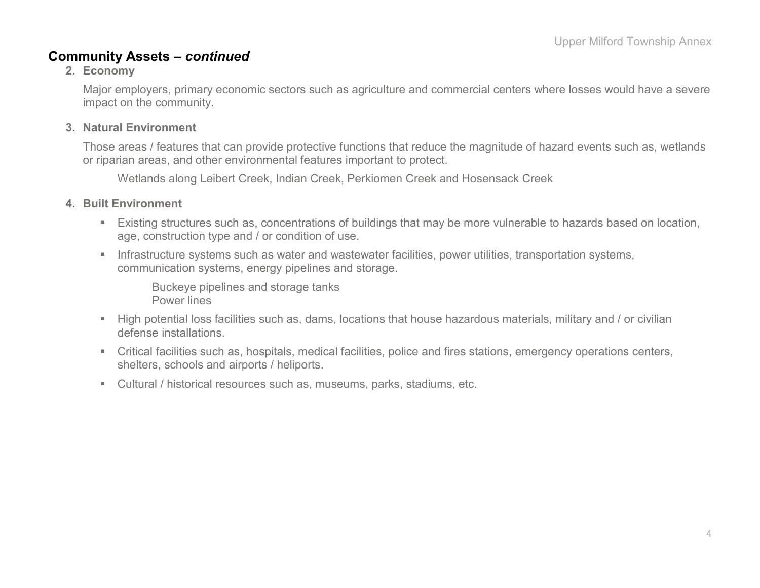#### **Community Assets –** *continued*

#### **2. Economy**

Major employers, primary economic sectors such as agriculture and commercial centers where losses would have a severe impact on the community.

#### **3. Natural Environment**

Those areas / features that can provide protective functions that reduce the magnitude of hazard events such as, wetlands or riparian areas, and other environmental features important to protect.

Wetlands along Leibert Creek, Indian Creek, Perkiomen Creek and Hosensack Creek

#### **4. Built Environment**

- Existing structures such as, concentrations of buildings that may be more vulnerable to hazards based on location, age, construction type and / or condition of use.
- **Infrastructure systems such as water and wastewater facilities, power utilities, transportation systems,** communication systems, energy pipelines and storage.

Buckeye pipelines and storage tanks Power lines

- High potential loss facilities such as, dams, locations that house hazardous materials, military and / or civilian defense installations.
- Critical facilities such as, hospitals, medical facilities, police and fires stations, emergency operations centers, shelters, schools and airports / heliports.
- Cultural / historical resources such as, museums, parks, stadiums, etc.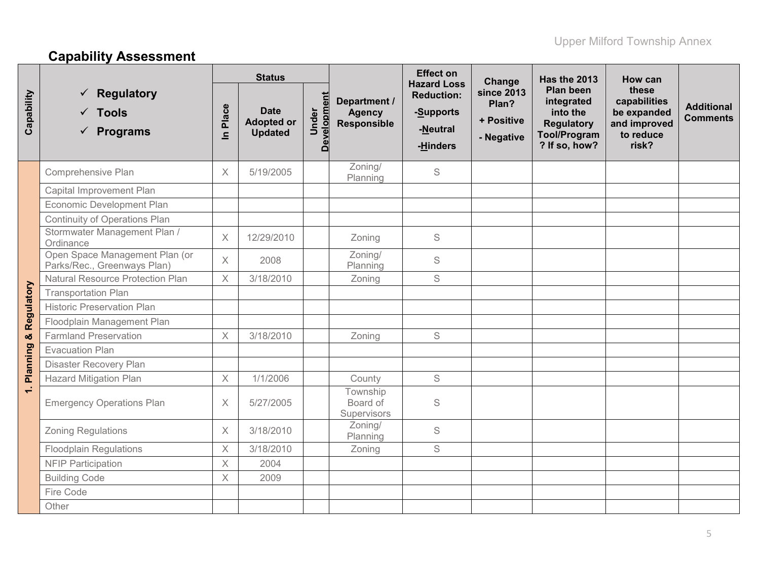# **Capability Assessment**

|                          |                                                                  | <b>Status</b>     |                                                    |                            | <b>Effect on</b><br><b>Hazard Loss</b>              | Change                                                 | <b>Has the 2013</b>                                    | How can                                                                                                 |                                                                            |                                      |
|--------------------------|------------------------------------------------------------------|-------------------|----------------------------------------------------|----------------------------|-----------------------------------------------------|--------------------------------------------------------|--------------------------------------------------------|---------------------------------------------------------------------------------------------------------|----------------------------------------------------------------------------|--------------------------------------|
| Capability               | <b>Regulatory</b><br>$\checkmark$ Tools<br>$\checkmark$ Programs | Place<br>$\equiv$ | <b>Date</b><br><b>Adopted or</b><br><b>Updated</b> | <b>Developmen</b><br>Under | Department /<br><b>Agency</b><br><b>Responsible</b> | <b>Reduction:</b><br>-Supports<br>-Neutral<br>-Hinders | <b>since 2013</b><br>Plan?<br>+ Positive<br>- Negative | <b>Plan been</b><br>integrated<br>into the<br><b>Regulatory</b><br><b>Tool/Program</b><br>? If so, how? | these<br>capabilities<br>be expanded<br>and improved<br>to reduce<br>risk? | <b>Additional</b><br><b>Comments</b> |
|                          | Comprehensive Plan                                               | $\times$          | 5/19/2005                                          |                            | Zoning/<br>Planning                                 | S                                                      |                                                        |                                                                                                         |                                                                            |                                      |
|                          | Capital Improvement Plan                                         |                   |                                                    |                            |                                                     |                                                        |                                                        |                                                                                                         |                                                                            |                                      |
|                          | Economic Development Plan                                        |                   |                                                    |                            |                                                     |                                                        |                                                        |                                                                                                         |                                                                            |                                      |
|                          | Continuity of Operations Plan                                    |                   |                                                    |                            |                                                     |                                                        |                                                        |                                                                                                         |                                                                            |                                      |
|                          | Stormwater Management Plan /<br>Ordinance                        | $\times$          | 12/29/2010                                         |                            | Zoning                                              | S                                                      |                                                        |                                                                                                         |                                                                            |                                      |
|                          | Open Space Management Plan (or<br>Parks/Rec., Greenways Plan)    | $\times$          | 2008                                               |                            | Zoning/<br>Planning                                 | S                                                      |                                                        |                                                                                                         |                                                                            |                                      |
|                          | Natural Resource Protection Plan                                 | $\times$          | 3/18/2010                                          |                            | Zoning                                              | S                                                      |                                                        |                                                                                                         |                                                                            |                                      |
|                          | <b>Transportation Plan</b>                                       |                   |                                                    |                            |                                                     |                                                        |                                                        |                                                                                                         |                                                                            |                                      |
|                          | <b>Historic Preservation Plan</b>                                |                   |                                                    |                            |                                                     |                                                        |                                                        |                                                                                                         |                                                                            |                                      |
|                          | Floodplain Management Plan                                       |                   |                                                    |                            |                                                     |                                                        |                                                        |                                                                                                         |                                                                            |                                      |
|                          | <b>Farmland Preservation</b>                                     | $\times$          | 3/18/2010                                          |                            | Zoning                                              | S                                                      |                                                        |                                                                                                         |                                                                            |                                      |
| Planning & Regulatory    | <b>Evacuation Plan</b>                                           |                   |                                                    |                            |                                                     |                                                        |                                                        |                                                                                                         |                                                                            |                                      |
|                          | Disaster Recovery Plan                                           |                   |                                                    |                            |                                                     |                                                        |                                                        |                                                                                                         |                                                                            |                                      |
|                          | <b>Hazard Mitigation Plan</b>                                    | $\times$          | 1/1/2006                                           |                            | County                                              | S                                                      |                                                        |                                                                                                         |                                                                            |                                      |
| $\overline{\phantom{0}}$ | <b>Emergency Operations Plan</b>                                 | $\times$          | 5/27/2005                                          |                            | Township<br>Board of<br>Supervisors                 | S                                                      |                                                        |                                                                                                         |                                                                            |                                      |
|                          | <b>Zoning Regulations</b>                                        | $\times$          | 3/18/2010                                          |                            | Zoning/<br>Planning                                 | S                                                      |                                                        |                                                                                                         |                                                                            |                                      |
|                          | <b>Floodplain Regulations</b>                                    | $\times$          | 3/18/2010                                          |                            | Zoning                                              | S                                                      |                                                        |                                                                                                         |                                                                            |                                      |
|                          | <b>NFIP Participation</b>                                        | $\times$          | 2004                                               |                            |                                                     |                                                        |                                                        |                                                                                                         |                                                                            |                                      |
|                          | <b>Building Code</b>                                             | $\times$          | 2009                                               |                            |                                                     |                                                        |                                                        |                                                                                                         |                                                                            |                                      |
|                          | Fire Code                                                        |                   |                                                    |                            |                                                     |                                                        |                                                        |                                                                                                         |                                                                            |                                      |
|                          | Other                                                            |                   |                                                    |                            |                                                     |                                                        |                                                        |                                                                                                         |                                                                            |                                      |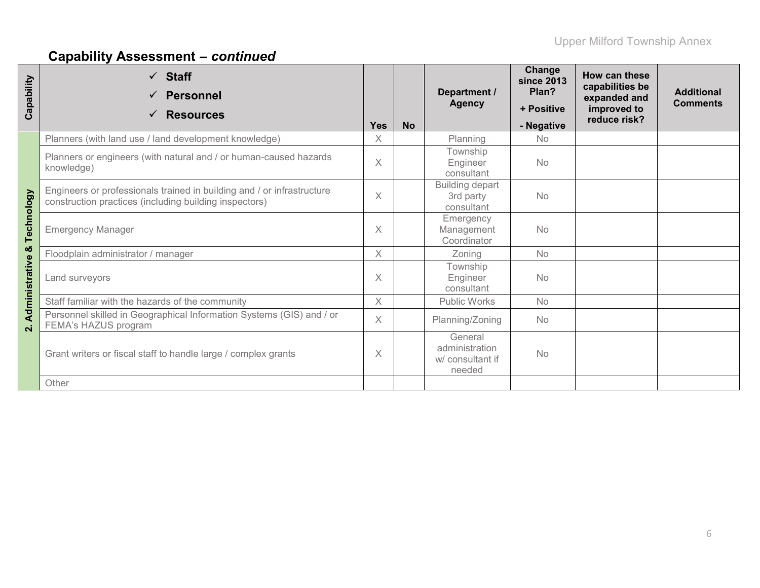# **Capability Assessment –** *continued*

| Capability     | $\checkmark$ Staff<br><b>Personnel</b><br><b>Resources</b><br>$\checkmark$                                                       | <b>Yes</b> | <b>No</b> | Department /<br><b>Agency</b>                           | Change<br><b>since 2013</b><br>Plan?<br>+ Positive<br>- Negative | How can these<br>capabilities be<br>expanded and<br>improved to<br>reduce risk? | <b>Additional</b><br><b>Comments</b> |
|----------------|----------------------------------------------------------------------------------------------------------------------------------|------------|-----------|---------------------------------------------------------|------------------------------------------------------------------|---------------------------------------------------------------------------------|--------------------------------------|
|                | Planners (with land use / land development knowledge)                                                                            | $\times$   |           | Planning                                                | <b>No</b>                                                        |                                                                                 |                                      |
|                | Planners or engineers (with natural and / or human-caused hazards<br>knowledge)                                                  | $\times$   |           | Township<br>Engineer<br>consultant                      | <b>No</b>                                                        |                                                                                 |                                      |
|                | Engineers or professionals trained in building and / or infrastructure<br>construction practices (including building inspectors) | $\times$   |           | <b>Building depart</b><br>3rd party<br>consultant       | <b>No</b>                                                        |                                                                                 |                                      |
| Technology     | <b>Emergency Manager</b>                                                                                                         | $\times$   |           | Emergency<br>Management<br>Coordinator                  | <b>No</b>                                                        |                                                                                 |                                      |
| ×              | Floodplain administrator / manager                                                                                               | $\times$   |           | Zoning                                                  | <b>No</b>                                                        |                                                                                 |                                      |
| Administrative | Land surveyors                                                                                                                   |            |           | Township<br>Engineer<br>consultant                      | <b>No</b>                                                        |                                                                                 |                                      |
|                | Staff familiar with the hazards of the community                                                                                 | $\times$   |           | <b>Public Works</b>                                     | <b>No</b>                                                        |                                                                                 |                                      |
| $\mathbf{N}$   | Personnel skilled in Geographical Information Systems (GIS) and / or<br>FEMA's HAZUS program                                     |            |           | Planning/Zoning                                         | <b>No</b>                                                        |                                                                                 |                                      |
|                | Grant writers or fiscal staff to handle large / complex grants                                                                   |            |           | General<br>administration<br>w/ consultant if<br>needed | <b>No</b>                                                        |                                                                                 |                                      |
|                | Other                                                                                                                            |            |           |                                                         |                                                                  |                                                                                 |                                      |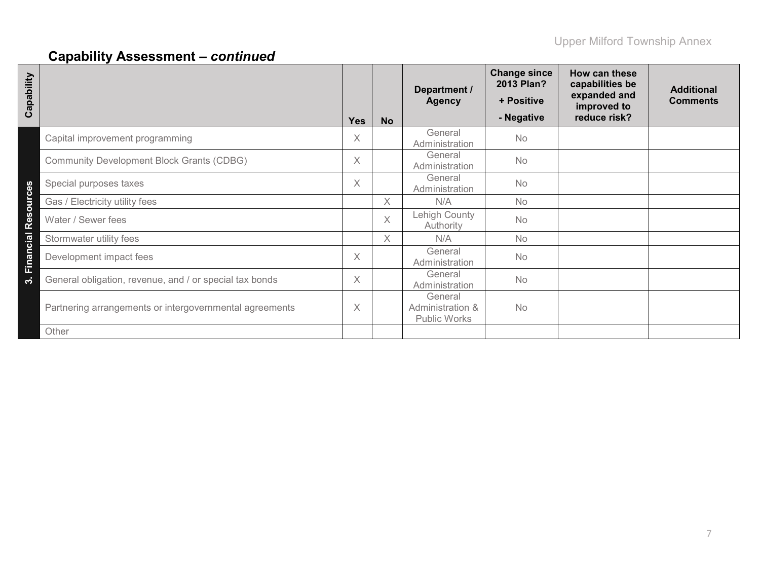# **Capability Assessment –** *continued*

| Capability       |                                                         | <b>Yes</b> | <b>No</b> | Department /<br><b>Agency</b>                      | <b>Change since</b><br>2013 Plan?<br>+ Positive<br>- Negative | How can these<br>capabilities be<br>expanded and<br>improved to<br>reduce risk? | <b>Additional</b><br><b>Comments</b> |
|------------------|---------------------------------------------------------|------------|-----------|----------------------------------------------------|---------------------------------------------------------------|---------------------------------------------------------------------------------|--------------------------------------|
|                  | Capital improvement programming                         | X          |           | General<br>Administration                          | <b>No</b>                                                     |                                                                                 |                                      |
|                  | <b>Community Development Block Grants (CDBG)</b>        | X          |           | General<br>Administration                          | <b>No</b>                                                     |                                                                                 |                                      |
|                  | Special purposes taxes                                  | X          |           | General<br>Administration                          | <b>No</b>                                                     |                                                                                 |                                      |
|                  | Gas / Electricity utility fees                          |            | X.        | N/A                                                | No                                                            |                                                                                 |                                      |
| <b>Resources</b> | Water / Sewer fees                                      |            | $\times$  | Lehigh County<br>Authority                         | <b>No</b>                                                     |                                                                                 |                                      |
|                  | Stormwater utility fees                                 |            | $\chi$    | N/A                                                | <b>No</b>                                                     |                                                                                 |                                      |
| Financial        | Development impact fees                                 | X          |           | General<br>Administration                          | No                                                            |                                                                                 |                                      |
| က်               | General obligation, revenue, and / or special tax bonds | X          |           | General<br>Administration                          | <b>No</b>                                                     |                                                                                 |                                      |
|                  | Partnering arrangements or intergovernmental agreements | X          |           | General<br>Administration &<br><b>Public Works</b> | No                                                            |                                                                                 |                                      |
|                  | Other                                                   |            |           |                                                    |                                                               |                                                                                 |                                      |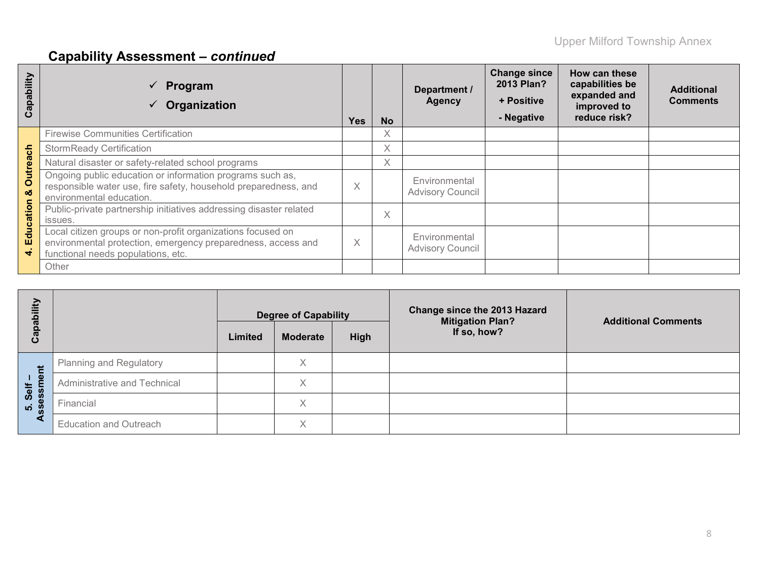# **Capability Assessment –** *continued*

| Capability           | Program<br>Organization                                                                                                                                           | <b>Yes</b>        | <b>No</b> | Department /<br><b>Agency</b>            | <b>Change since</b><br>2013 Plan?<br>+ Positive<br>- Negative | How can these<br>capabilities be<br>expanded and<br>improved to<br>reduce risk? | <b>Additional</b><br><b>Comments</b> |
|----------------------|-------------------------------------------------------------------------------------------------------------------------------------------------------------------|-------------------|-----------|------------------------------------------|---------------------------------------------------------------|---------------------------------------------------------------------------------|--------------------------------------|
|                      | <b>Firewise Communities Certification</b>                                                                                                                         |                   | X         |                                          |                                                               |                                                                                 |                                      |
|                      | <b>StormReady Certification</b>                                                                                                                                   |                   | X         |                                          |                                                               |                                                                                 |                                      |
|                      | Natural disaster or safety-related school programs                                                                                                                |                   | X         |                                          |                                                               |                                                                                 |                                      |
| <b>Outreach</b><br>ೲ | Ongoing public education or information programs such as,<br>responsible water use, fire safety, household preparedness, and<br>environmental education.          | $\checkmark$<br>⋏ |           | Environmental<br><b>Advisory Council</b> |                                                               |                                                                                 |                                      |
|                      | Public-private partnership initiatives addressing disaster related<br>issues.                                                                                     |                   | X         |                                          |                                                               |                                                                                 |                                      |
| Education<br>4       | Local citizen groups or non-profit organizations focused on<br>environmental protection, emergency preparedness, access and<br>functional needs populations, etc. |                   |           | Environmental<br><b>Advisory Council</b> |                                                               |                                                                                 |                                      |
|                      | Other                                                                                                                                                             |                   |           |                                          |                                                               |                                                                                 |                                      |

| Capability         |                                | <b>Degree of Capability</b><br>High<br>Limited<br><b>Moderate</b> |   | <b>Change since the 2013 Hazard</b><br><b>Mitigation Plan?</b><br>If so, how? | <b>Additional Comments</b> |  |
|--------------------|--------------------------------|-------------------------------------------------------------------|---|-------------------------------------------------------------------------------|----------------------------|--|
| Ĕ                  | <b>Planning and Regulatory</b> |                                                                   | Χ |                                                                               |                            |  |
| 1 <u>@</u><br>Self | Administrative and Technical   |                                                                   | Χ |                                                                               |                            |  |
| sees<br>ທ່         | Financial                      |                                                                   | X |                                                                               |                            |  |
| đ                  | <b>Education and Outreach</b>  |                                                                   | X |                                                                               |                            |  |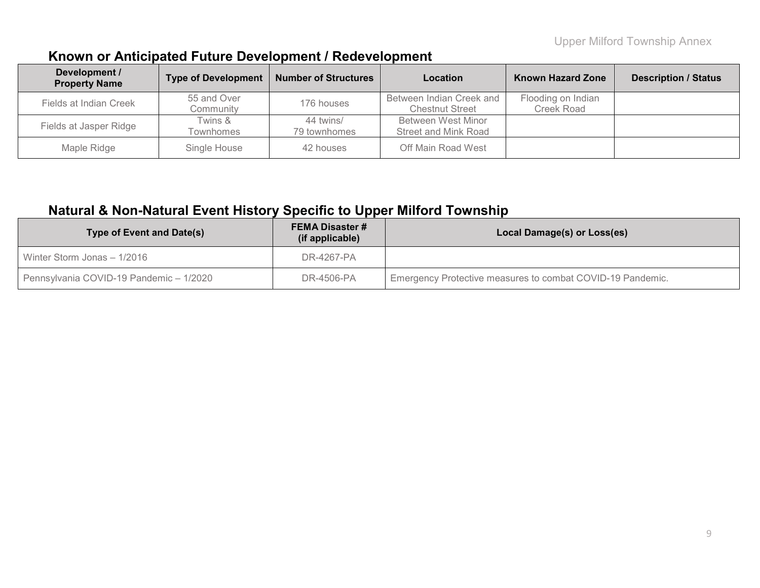## **Known or Anticipated Future Development / Redevelopment**

| Development /<br><b>Property Name</b> | <b>Type of Development</b> | <b>Number of Structures</b> | Location                                           | <b>Known Hazard Zone</b>         | <b>Description / Status</b> |
|---------------------------------------|----------------------------|-----------------------------|----------------------------------------------------|----------------------------------|-----------------------------|
| Fields at Indian Creek                | 55 and Over<br>Community   | 176 houses                  | Between Indian Creek and<br><b>Chestnut Street</b> | Flooding on Indian<br>Creek Road |                             |
| Fields at Jasper Ridge                | Twins &<br>Townhomes       | 44 twins/<br>79 townhomes   | Between West Minor<br>Street and Mink Road         |                                  |                             |
| Maple Ridge                           | Single House               | 42 houses                   | Off Main Road West                                 |                                  |                             |

### **Natural & Non-Natural Event History Specific to Upper Milford Township**

| Type of Event and Date(s)               | <b>FEMA Disaster #</b><br>(if applicable) | Local Damage(s) or Loss(es)                                |
|-----------------------------------------|-------------------------------------------|------------------------------------------------------------|
| Winter Storm Jonas - 1/2016             | DR-4267-PA                                |                                                            |
| Pennsylvania COVID-19 Pandemic - 1/2020 | DR-4506-PA                                | Emergency Protective measures to combat COVID-19 Pandemic. |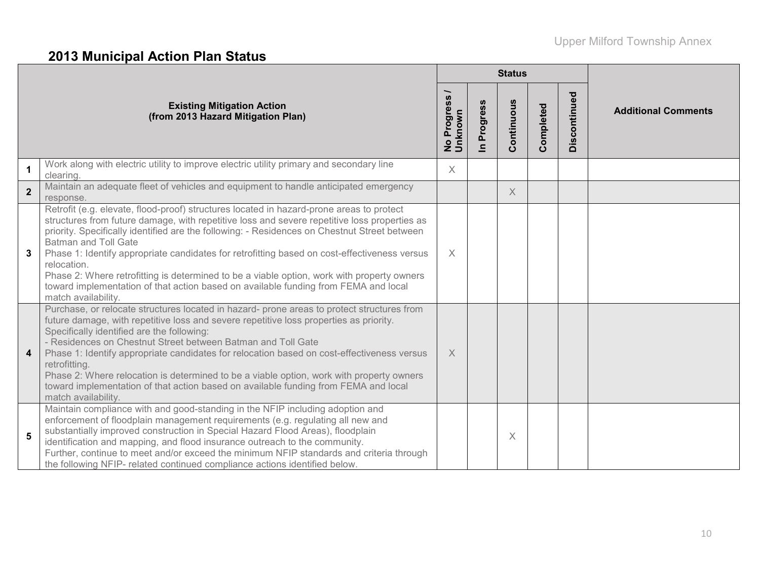# **2013 Municipal Action Plan Status**

|                         |                                                                                                                                                                                                                                                                                                                                                                                                                                                                                                                                                                                                                                                    |                                          |                            | <b>Status</b>  |           |              |                            |
|-------------------------|----------------------------------------------------------------------------------------------------------------------------------------------------------------------------------------------------------------------------------------------------------------------------------------------------------------------------------------------------------------------------------------------------------------------------------------------------------------------------------------------------------------------------------------------------------------------------------------------------------------------------------------------------|------------------------------------------|----------------------------|----------------|-----------|--------------|----------------------------|
|                         | <b>Existing Mitigation Action</b><br>(from 2013 Hazard Mitigation Plan)                                                                                                                                                                                                                                                                                                                                                                                                                                                                                                                                                                            | Progress<br>nknown<br>$\frac{1}{2}$<br>∍ | Progress<br>$\overline{a}$ | ontinuous<br>Ŏ | Completed | Discontinued | <b>Additional Comments</b> |
| $\mathbf 1$             | Work along with electric utility to improve electric utility primary and secondary line<br>clearing.                                                                                                                                                                                                                                                                                                                                                                                                                                                                                                                                               | $\times$                                 |                            |                |           |              |                            |
| $\overline{2}$          | Maintain an adequate fleet of vehicles and equipment to handle anticipated emergency<br>response.                                                                                                                                                                                                                                                                                                                                                                                                                                                                                                                                                  |                                          |                            | X              |           |              |                            |
| 3                       | Retrofit (e.g. elevate, flood-proof) structures located in hazard-prone areas to protect<br>structures from future damage, with repetitive loss and severe repetitive loss properties as<br>priority. Specifically identified are the following: - Residences on Chestnut Street between<br><b>Batman and Toll Gate</b><br>Phase 1: Identify appropriate candidates for retrofitting based on cost-effectiveness versus<br>relocation.<br>Phase 2: Where retrofitting is determined to be a viable option, work with property owners<br>toward implementation of that action based on available funding from FEMA and local<br>match availability. | $\times$                                 |                            |                |           |              |                            |
| $\overline{\mathbf{4}}$ | Purchase, or relocate structures located in hazard- prone areas to protect structures from<br>future damage, with repetitive loss and severe repetitive loss properties as priority.<br>Specifically identified are the following:<br>- Residences on Chestnut Street between Batman and Toll Gate<br>Phase 1: Identify appropriate candidates for relocation based on cost-effectiveness versus<br>retrofitting.<br>Phase 2: Where relocation is determined to be a viable option, work with property owners<br>toward implementation of that action based on available funding from FEMA and local<br>match availability.                        | $\times$                                 |                            |                |           |              |                            |
| 5                       | Maintain compliance with and good-standing in the NFIP including adoption and<br>enforcement of floodplain management requirements (e.g. regulating all new and<br>substantially improved construction in Special Hazard Flood Areas), floodplain<br>identification and mapping, and flood insurance outreach to the community.<br>Further, continue to meet and/or exceed the minimum NFIP standards and criteria through<br>the following NFIP- related continued compliance actions identified below.                                                                                                                                           |                                          |                            | X              |           |              |                            |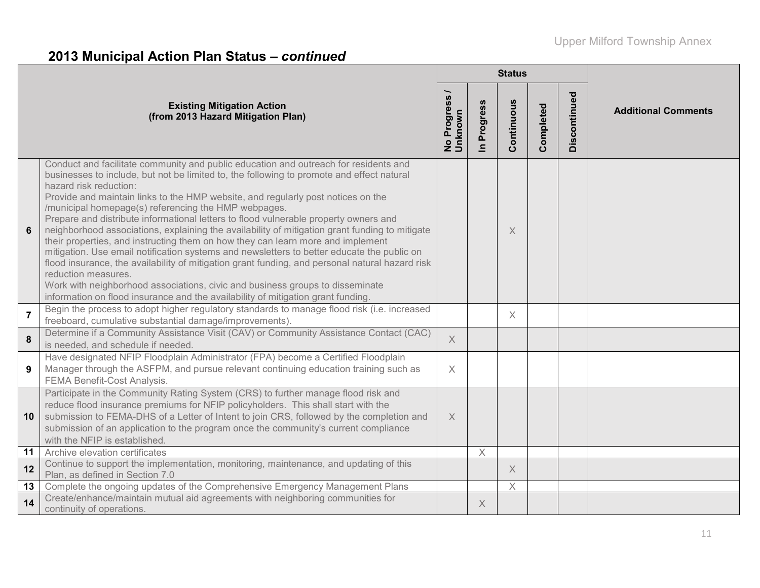# **2013 Municipal Action Plan Status –** *continued*

|                |                                                                                                                                                                                                                                                                                                                                                                                                                                                                                                                                                                                                                                                                                                                                                                                                                                                                                                                                                                                                                                   |                        |                          | <b>Status</b>             |           |              |                            |
|----------------|-----------------------------------------------------------------------------------------------------------------------------------------------------------------------------------------------------------------------------------------------------------------------------------------------------------------------------------------------------------------------------------------------------------------------------------------------------------------------------------------------------------------------------------------------------------------------------------------------------------------------------------------------------------------------------------------------------------------------------------------------------------------------------------------------------------------------------------------------------------------------------------------------------------------------------------------------------------------------------------------------------------------------------------|------------------------|--------------------------|---------------------------|-----------|--------------|----------------------------|
|                | <b>Existing Mitigation Action</b><br>(from 2013 Hazard Mitigation Plan)                                                                                                                                                                                                                                                                                                                                                                                                                                                                                                                                                                                                                                                                                                                                                                                                                                                                                                                                                           | No Progress<br>Unknown | Progress<br>$\mathbf{a}$ | Continuous                | Completed | Discontinued | <b>Additional Comments</b> |
| 6              | Conduct and facilitate community and public education and outreach for residents and<br>businesses to include, but not be limited to, the following to promote and effect natural<br>hazard risk reduction:<br>Provide and maintain links to the HMP website, and regularly post notices on the<br>/municipal homepage(s) referencing the HMP webpages.<br>Prepare and distribute informational letters to flood vulnerable property owners and<br>neighborhood associations, explaining the availability of mitigation grant funding to mitigate<br>their properties, and instructing them on how they can learn more and implement<br>mitigation. Use email notification systems and newsletters to better educate the public on<br>flood insurance, the availability of mitigation grant funding, and personal natural hazard risk<br>reduction measures.<br>Work with neighborhood associations, civic and business groups to disseminate<br>information on flood insurance and the availability of mitigation grant funding. |                        |                          | $\times$                  |           |              |                            |
| $\overline{7}$ | Begin the process to adopt higher regulatory standards to manage flood risk (i.e. increased<br>freeboard, cumulative substantial damage/improvements).                                                                                                                                                                                                                                                                                                                                                                                                                                                                                                                                                                                                                                                                                                                                                                                                                                                                            |                        |                          | $\times$                  |           |              |                            |
| 8              | Determine if a Community Assistance Visit (CAV) or Community Assistance Contact (CAC)<br>is needed, and schedule if needed.                                                                                                                                                                                                                                                                                                                                                                                                                                                                                                                                                                                                                                                                                                                                                                                                                                                                                                       | $\chi$                 |                          |                           |           |              |                            |
| 9              | Have designated NFIP Floodplain Administrator (FPA) become a Certified Floodplain<br>Manager through the ASFPM, and pursue relevant continuing education training such as<br>FEMA Benefit-Cost Analysis.                                                                                                                                                                                                                                                                                                                                                                                                                                                                                                                                                                                                                                                                                                                                                                                                                          | $\times$               |                          |                           |           |              |                            |
| 10             | Participate in the Community Rating System (CRS) to further manage flood risk and<br>reduce flood insurance premiums for NFIP policyholders. This shall start with the<br>submission to FEMA-DHS of a Letter of Intent to join CRS, followed by the completion and<br>submission of an application to the program once the community's current compliance<br>with the NFIP is established.                                                                                                                                                                                                                                                                                                                                                                                                                                                                                                                                                                                                                                        | $\times$               |                          |                           |           |              |                            |
| 11             | Archive elevation certificates                                                                                                                                                                                                                                                                                                                                                                                                                                                                                                                                                                                                                                                                                                                                                                                                                                                                                                                                                                                                    |                        | Χ                        |                           |           |              |                            |
| 12             | Continue to support the implementation, monitoring, maintenance, and updating of this<br>Plan, as defined in Section 7.0                                                                                                                                                                                                                                                                                                                                                                                                                                                                                                                                                                                                                                                                                                                                                                                                                                                                                                          |                        |                          | $\times$                  |           |              |                            |
| 13             | Complete the ongoing updates of the Comprehensive Emergency Management Plans                                                                                                                                                                                                                                                                                                                                                                                                                                                                                                                                                                                                                                                                                                                                                                                                                                                                                                                                                      |                        |                          | $\boldsymbol{\mathsf{X}}$ |           |              |                            |
| 14             | Create/enhance/maintain mutual aid agreements with neighboring communities for<br>continuity of operations.                                                                                                                                                                                                                                                                                                                                                                                                                                                                                                                                                                                                                                                                                                                                                                                                                                                                                                                       |                        | X                        |                           |           |              |                            |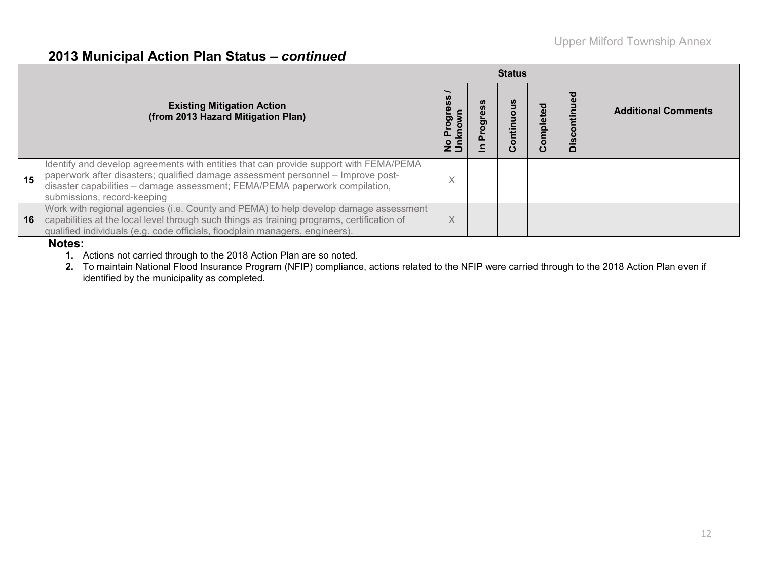### **2013 Municipal Action Plan Status –** *continued*

|    |                                                                                                                                                                                                                                                                                         |                          | <b>Status</b> |         |                          |                            |  |  |
|----|-----------------------------------------------------------------------------------------------------------------------------------------------------------------------------------------------------------------------------------------------------------------------------------------|--------------------------|---------------|---------|--------------------------|----------------------------|--|--|
|    | <b>Existing Mitigation Action</b><br>(from 2013 Hazard Mitigation Plan)                                                                                                                                                                                                                 |                          |               | mpleted | o<br>Ē<br>isco<br>$\Box$ | <b>Additional Comments</b> |  |  |
| 15 | Identify and develop agreements with entities that can provide support with FEMA/PEMA<br>paperwork after disasters; qualified damage assessment personnel - Improve post-<br>disaster capabilities - damage assessment; FEMA/PEMA paperwork compilation,<br>submissions, record-keeping | $\sqrt{}$<br>∧           |               |         |                          |                            |  |  |
| 16 | Work with regional agencies (i.e. County and PEMA) to help develop damage assessment<br>capabilities at the local level through such things as training programs, certification of<br>qualified individuals (e.g. code officials, floodplain managers, engineers).<br>.                 | $\checkmark$<br>$\wedge$ |               |         |                          |                            |  |  |

#### **Notes:**

**1.** Actions not carried through to the 2018 Action Plan are so noted.

**2.** To maintain National Flood Insurance Program (NFIP) compliance, actions related to the NFIP were carried through to the 2018 Action Plan even if identified by the municipality as completed.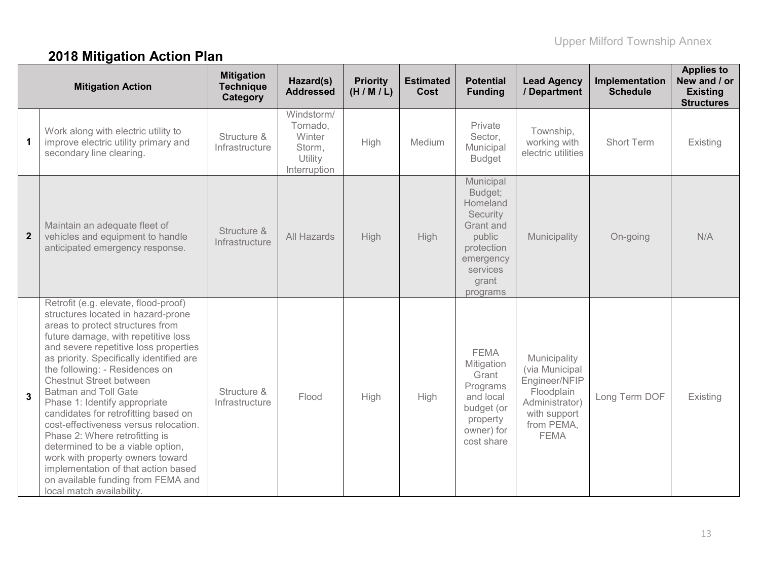# **2018 Mitigation Action Plan**

|                | <b>Mitigation Action</b>                                                                                                                                                                                                                                                                                                                                                                                                                                                                                                                                                                                                                                                             | <b>Mitigation</b><br><b>Technique</b><br>Category | Hazard(s)<br><b>Addressed</b>                                         | <b>Priority</b><br>(H/M/L) | <b>Estimated</b><br>Cost | <b>Potential</b><br><b>Funding</b>                                                                                              | <b>Lead Agency</b><br>/ Department                                                                                           | Implementation<br><b>Schedule</b> | <b>Applies to</b><br>New and / or<br><b>Existing</b><br><b>Structures</b> |
|----------------|--------------------------------------------------------------------------------------------------------------------------------------------------------------------------------------------------------------------------------------------------------------------------------------------------------------------------------------------------------------------------------------------------------------------------------------------------------------------------------------------------------------------------------------------------------------------------------------------------------------------------------------------------------------------------------------|---------------------------------------------------|-----------------------------------------------------------------------|----------------------------|--------------------------|---------------------------------------------------------------------------------------------------------------------------------|------------------------------------------------------------------------------------------------------------------------------|-----------------------------------|---------------------------------------------------------------------------|
| $\mathbf 1$    | Work along with electric utility to<br>improve electric utility primary and<br>secondary line clearing.                                                                                                                                                                                                                                                                                                                                                                                                                                                                                                                                                                              | Structure &<br>Infrastructure                     | Windstorm/<br>Tornado,<br>Winter<br>Storm,<br>Utility<br>Interruption | High                       | Medium                   | Private<br>Sector,<br>Municipal<br><b>Budget</b>                                                                                | Township,<br>working with<br>electric utilities                                                                              | Short Term                        | Existing                                                                  |
| $\overline{2}$ | Maintain an adequate fleet of<br>vehicles and equipment to handle<br>anticipated emergency response.                                                                                                                                                                                                                                                                                                                                                                                                                                                                                                                                                                                 | Structure &<br>Infrastructure                     | All Hazards                                                           | High                       | High                     | Municipal<br>Budget;<br>Homeland<br>Security<br>Grant and<br>public<br>protection<br>emergency<br>services<br>grant<br>programs | Municipality                                                                                                                 | On-going                          | N/A                                                                       |
| 3              | Retrofit (e.g. elevate, flood-proof)<br>structures located in hazard-prone<br>areas to protect structures from<br>future damage, with repetitive loss<br>and severe repetitive loss properties<br>as priority. Specifically identified are<br>the following: - Residences on<br><b>Chestnut Street between</b><br><b>Batman and Toll Gate</b><br>Phase 1: Identify appropriate<br>candidates for retrofitting based on<br>cost-effectiveness versus relocation.<br>Phase 2: Where retrofitting is<br>determined to be a viable option,<br>work with property owners toward<br>implementation of that action based<br>on available funding from FEMA and<br>local match availability. | Structure &<br>Infrastructure                     | Flood                                                                 | High                       | High                     | <b>FEMA</b><br>Mitigation<br>Grant<br>Programs<br>and local<br>budget (or<br>property<br>owner) for<br>cost share               | Municipality<br>(via Municipal<br>Engineer/NFIP<br>Floodplain<br>Administrator)<br>with support<br>from PEMA,<br><b>FEMA</b> | Long Term DOF                     | Existing                                                                  |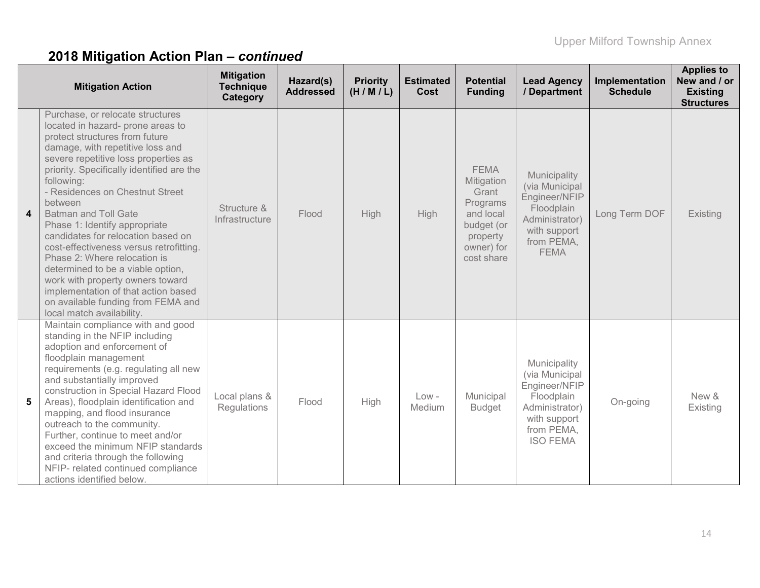|                  | <b>Mitigation Action</b>                                                                                                                                                                                                                                                                                                                                                                                                                                                                                                                                                                                                                                         | <b>Mitigation</b><br><b>Technique</b><br>Category | Hazard(s)<br><b>Addressed</b> | <b>Priority</b><br>(H/M/L) | <b>Estimated</b><br>Cost | <b>Potential</b><br><b>Funding</b>                                                                                | <b>Lead Agency</b><br>/ Department                                                                                               | Implementation<br><b>Schedule</b> | <b>Applies to</b><br>New and / or<br><b>Existing</b><br><b>Structures</b> |
|------------------|------------------------------------------------------------------------------------------------------------------------------------------------------------------------------------------------------------------------------------------------------------------------------------------------------------------------------------------------------------------------------------------------------------------------------------------------------------------------------------------------------------------------------------------------------------------------------------------------------------------------------------------------------------------|---------------------------------------------------|-------------------------------|----------------------------|--------------------------|-------------------------------------------------------------------------------------------------------------------|----------------------------------------------------------------------------------------------------------------------------------|-----------------------------------|---------------------------------------------------------------------------|
| $\boldsymbol{4}$ | Purchase, or relocate structures<br>located in hazard- prone areas to<br>protect structures from future<br>damage, with repetitive loss and<br>severe repetitive loss properties as<br>priority. Specifically identified are the<br>following:<br>- Residences on Chestnut Street<br>between<br><b>Batman and Toll Gate</b><br>Phase 1: Identify appropriate<br>candidates for relocation based on<br>cost-effectiveness versus retrofitting.<br>Phase 2: Where relocation is<br>determined to be a viable option,<br>work with property owners toward<br>implementation of that action based<br>on available funding from FEMA and<br>local match availability. | Structure &<br>Infrastructure                     | Flood                         | High                       | High                     | <b>FEMA</b><br>Mitigation<br>Grant<br>Programs<br>and local<br>budget (or<br>property<br>owner) for<br>cost share | Municipality<br>(via Municipal<br>Engineer/NFIP<br>Floodplain<br>Administrator)<br>with support<br>from PEMA,<br><b>FEMA</b>     | Long Term DOF                     | Existing                                                                  |
| 5                | Maintain compliance with and good<br>standing in the NFIP including<br>adoption and enforcement of<br>floodplain management<br>requirements (e.g. regulating all new<br>and substantially improved<br>construction in Special Hazard Flood<br>Areas), floodplain identification and<br>mapping, and flood insurance<br>outreach to the community.<br>Further, continue to meet and/or<br>exceed the minimum NFIP standards<br>and criteria through the following<br>NFIP- related continued compliance<br>actions identified below.                                                                                                                              | Local plans &<br>Regulations                      | Flood                         | High                       | $Low -$<br>Medium        | Municipal<br><b>Budget</b>                                                                                        | Municipality<br>(via Municipal<br>Engineer/NFIP<br>Floodplain<br>Administrator)<br>with support<br>from PEMA,<br><b>ISO FEMA</b> | On-going                          | New &<br>Existing                                                         |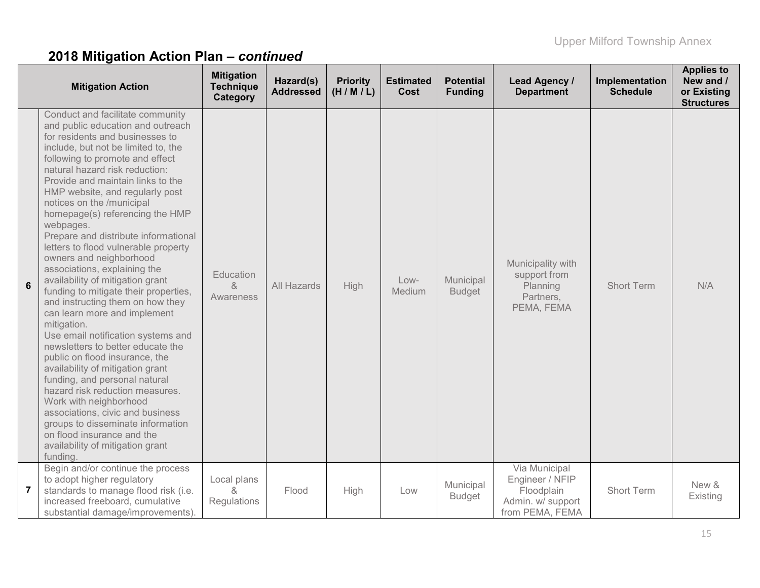|                | <b>Mitigation Action</b>                                                                                                                                                                                                                                                                                                                                                                                                                                                                                                                                                                                                                                                                                                                                                                                                                                                                                                                                                                                                                                                                   | <b>Mitigation</b><br><b>Technique</b><br>Category | Hazard(s)<br><b>Addressed</b> | <b>Priority</b><br>(H/M/L) | <b>Estimated</b><br>Cost | <b>Potential</b><br><b>Funding</b> | Lead Agency /<br><b>Department</b>                                                     | Implementation<br><b>Schedule</b> | <b>Applies to</b><br>New and /<br>or Existing<br><b>Structures</b> |
|----------------|--------------------------------------------------------------------------------------------------------------------------------------------------------------------------------------------------------------------------------------------------------------------------------------------------------------------------------------------------------------------------------------------------------------------------------------------------------------------------------------------------------------------------------------------------------------------------------------------------------------------------------------------------------------------------------------------------------------------------------------------------------------------------------------------------------------------------------------------------------------------------------------------------------------------------------------------------------------------------------------------------------------------------------------------------------------------------------------------|---------------------------------------------------|-------------------------------|----------------------------|--------------------------|------------------------------------|----------------------------------------------------------------------------------------|-----------------------------------|--------------------------------------------------------------------|
| 6              | Conduct and facilitate community<br>and public education and outreach<br>for residents and businesses to<br>include, but not be limited to, the<br>following to promote and effect<br>natural hazard risk reduction:<br>Provide and maintain links to the<br>HMP website, and regularly post<br>notices on the /municipal<br>homepage(s) referencing the HMP<br>webpages.<br>Prepare and distribute informational<br>letters to flood vulnerable property<br>owners and neighborhood<br>associations, explaining the<br>availability of mitigation grant<br>funding to mitigate their properties,<br>and instructing them on how they<br>can learn more and implement<br>mitigation.<br>Use email notification systems and<br>newsletters to better educate the<br>public on flood insurance, the<br>availability of mitigation grant<br>funding, and personal natural<br>hazard risk reduction measures.<br>Work with neighborhood<br>associations, civic and business<br>groups to disseminate information<br>on flood insurance and the<br>availability of mitigation grant<br>funding. | Education<br>&<br>Awareness                       | All Hazards                   | <b>High</b>                | $Low-$<br>Medium         | Municipal<br><b>Budget</b>         | Municipality with<br>support from<br>Planning<br>Partners,<br>PEMA, FEMA               | <b>Short Term</b>                 | N/A                                                                |
| $\overline{7}$ | Begin and/or continue the process<br>to adopt higher regulatory<br>standards to manage flood risk (i.e.<br>increased freeboard, cumulative<br>substantial damage/improvements).                                                                                                                                                                                                                                                                                                                                                                                                                                                                                                                                                                                                                                                                                                                                                                                                                                                                                                            | Local plans<br>&<br>Regulations                   | Flood                         | High                       | Low                      | Municipal<br><b>Budget</b>         | Via Municipal<br>Engineer / NFIP<br>Floodplain<br>Admin. w/ support<br>from PEMA, FEMA | <b>Short Term</b>                 | New &<br>Existing                                                  |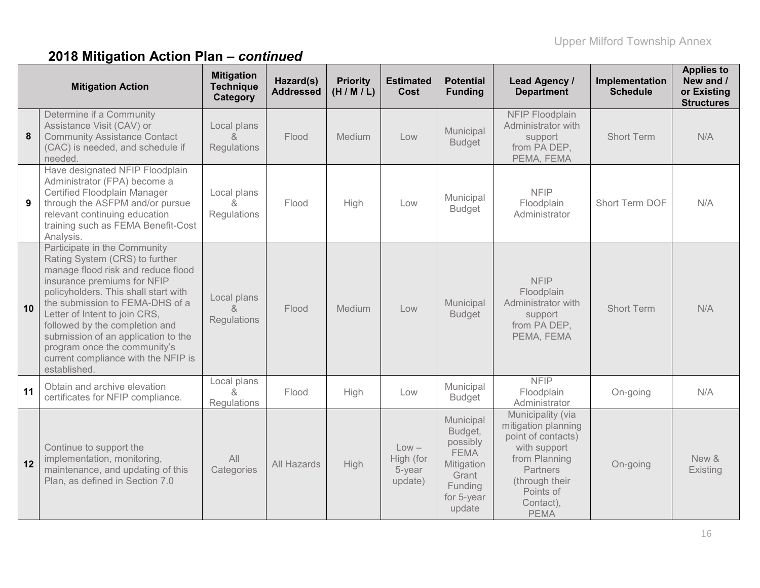|    | <b>Mitigation Action</b>                                                                                                                                                                                                                                                                                                                                                                                        | <b>Mitigation</b><br><b>Technique</b><br>Category | Hazard(s)<br><b>Addressed</b> | <b>Priority</b><br>(H/M/L) | <b>Estimated</b><br>Cost                  | <b>Potential</b><br><b>Funding</b>                                                                        | <b>Lead Agency /</b><br><b>Department</b>                                                                                                                                     | Implementation<br><b>Schedule</b> | <b>Applies to</b><br>New and /<br>or Existing<br><b>Structures</b> |
|----|-----------------------------------------------------------------------------------------------------------------------------------------------------------------------------------------------------------------------------------------------------------------------------------------------------------------------------------------------------------------------------------------------------------------|---------------------------------------------------|-------------------------------|----------------------------|-------------------------------------------|-----------------------------------------------------------------------------------------------------------|-------------------------------------------------------------------------------------------------------------------------------------------------------------------------------|-----------------------------------|--------------------------------------------------------------------|
| 8  | Determine if a Community<br>Assistance Visit (CAV) or<br><b>Community Assistance Contact</b><br>(CAC) is needed, and schedule if<br>needed.                                                                                                                                                                                                                                                                     | Local plans<br>8<br>Regulations                   | Flood                         | Medium                     | Low                                       | Municipal<br><b>Budget</b>                                                                                | NFIP Floodplain<br>Administrator with<br>support<br>from PA DEP,<br>PEMA, FEMA                                                                                                | Short Term                        | N/A                                                                |
| 9  | Have designated NFIP Floodplain<br>Administrator (FPA) become a<br>Certified Floodplain Manager<br>through the ASFPM and/or pursue<br>relevant continuing education<br>training such as FEMA Benefit-Cost<br>Analysis.                                                                                                                                                                                          | Local plans<br>$\alpha$<br>Regulations            | Flood                         | High                       | Low                                       | Municipal<br><b>Budget</b>                                                                                | <b>NFIP</b><br>Floodplain<br>Administrator                                                                                                                                    | Short Term DOF                    | N/A                                                                |
| 10 | Participate in the Community<br>Rating System (CRS) to further<br>manage flood risk and reduce flood<br>insurance premiums for NFIP<br>policyholders. This shall start with<br>the submission to FEMA-DHS of a<br>Letter of Intent to join CRS,<br>followed by the completion and<br>submission of an application to the<br>program once the community's<br>current compliance with the NFIP is<br>established. | Local plans<br>&<br>Regulations                   | Flood                         | Medium                     | Low                                       | Municipal<br><b>Budget</b>                                                                                | <b>NFIP</b><br>Floodplain<br>Administrator with<br>support<br>from PA DEP,<br>PEMA, FEMA                                                                                      | <b>Short Term</b>                 | N/A                                                                |
| 11 | Obtain and archive elevation<br>certificates for NFIP compliance.                                                                                                                                                                                                                                                                                                                                               | Local plans<br>$\alpha$<br>Regulations            | Flood                         | High                       | Low                                       | Municipal<br><b>Budget</b>                                                                                | <b>NFIP</b><br>Floodplain<br>Administrator                                                                                                                                    | On-going                          | N/A                                                                |
| 12 | Continue to support the<br>implementation, monitoring,<br>maintenance, and updating of this<br>Plan, as defined in Section 7.0                                                                                                                                                                                                                                                                                  | All<br>Categories                                 | All Hazards                   | High                       | $Low -$<br>High (for<br>5-year<br>update) | Municipal<br>Budget,<br>possibly<br><b>FEMA</b><br>Mitigation<br>Grant<br>Funding<br>for 5-year<br>update | Municipality (via<br>mitigation planning<br>point of contacts)<br>with support<br>from Planning<br><b>Partners</b><br>(through their<br>Points of<br>Contact),<br><b>PEMA</b> | On-going                          | New &<br>Existing                                                  |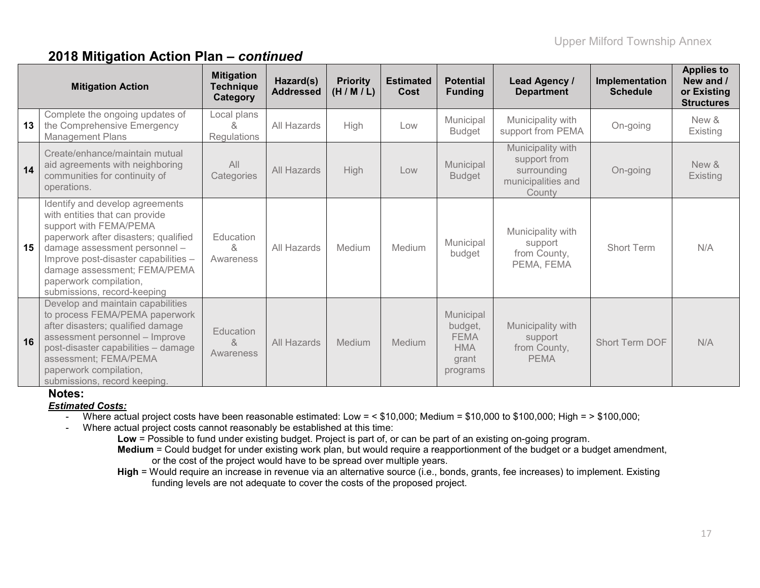|    | <b>Mitigation Action</b>                                                                                                                                                                                                                                                                              | <b>Mitigation</b><br><b>Technique</b><br>Category | Hazard(s)<br><b>Addressed</b> | <b>Priority</b><br>(H/M/L) | <b>Estimated</b><br>Cost | <b>Potential</b><br><b>Funding</b>                                     | Lead Agency /<br><b>Department</b>                                               | Implementation<br><b>Schedule</b> | <b>Applies to</b><br>New and /<br>or Existing<br><b>Structures</b> |
|----|-------------------------------------------------------------------------------------------------------------------------------------------------------------------------------------------------------------------------------------------------------------------------------------------------------|---------------------------------------------------|-------------------------------|----------------------------|--------------------------|------------------------------------------------------------------------|----------------------------------------------------------------------------------|-----------------------------------|--------------------------------------------------------------------|
| 13 | Complete the ongoing updates of<br>the Comprehensive Emergency<br><b>Management Plans</b>                                                                                                                                                                                                             | Local plans<br>X.<br>Regulations                  | All Hazards                   | High                       | Low                      | Municipal<br><b>Budget</b>                                             | Municipality with<br>support from PEMA                                           | On-going                          | New &<br>Existing                                                  |
| 14 | Create/enhance/maintain mutual<br>aid agreements with neighboring<br>communities for continuity of<br>operations.                                                                                                                                                                                     | All<br>Categories                                 | All Hazards                   | High                       | Low                      | Municipal<br><b>Budget</b>                                             | Municipality with<br>support from<br>surrounding<br>municipalities and<br>County | On-going                          | New &<br>Existing                                                  |
| 15 | Identify and develop agreements<br>with entities that can provide<br>support with FEMA/PEMA<br>paperwork after disasters; qualified<br>damage assessment personnel -<br>Improve post-disaster capabilities -<br>damage assessment; FEMA/PEMA<br>paperwork compilation,<br>submissions, record-keeping | Education<br>&<br>Awareness                       | All Hazards                   | Medium                     | Medium                   | Municipal<br>budget                                                    | Municipality with<br>support<br>from County,<br>PEMA, FEMA                       | <b>Short Term</b>                 | N/A                                                                |
| 16 | Develop and maintain capabilities<br>to process FEMA/PEMA paperwork<br>after disasters; qualified damage<br>assessment personnel - Improve<br>post-disaster capabilities - damage<br>assessment; FEMA/PEMA<br>paperwork compilation,<br>submissions, record keeping.                                  | <b>Education</b><br>&<br>Awareness                | All Hazards                   | Medium                     | <b>Medium</b>            | Municipal<br>budget,<br><b>FEMA</b><br><b>HMA</b><br>grant<br>programs | Municipality with<br>support<br>from County,<br><b>PEMA</b>                      | Short Term DOF                    | N/A                                                                |

#### **Notes:**

#### *Estimated Costs:*

- Where actual project costs have been reasonable estimated: Low = < \$10,000; Medium = \$10,000 to \$100,000; High = > \$100,000;
- Where actual project costs cannot reasonably be established at this time:
	- **Low** = Possible to fund under existing budget. Project is part of, or can be part of an existing on-going program. **Medium** = Could budget for under existing work plan, but would require a reapportionment of the budget or a budget amendment,
		- or the cost of the project would have to be spread over multiple years.
	- **High** = Would require an increase in revenue via an alternative source (i.e., bonds, grants, fee increases) to implement. Existing funding levels are not adequate to cover the costs of the proposed project.